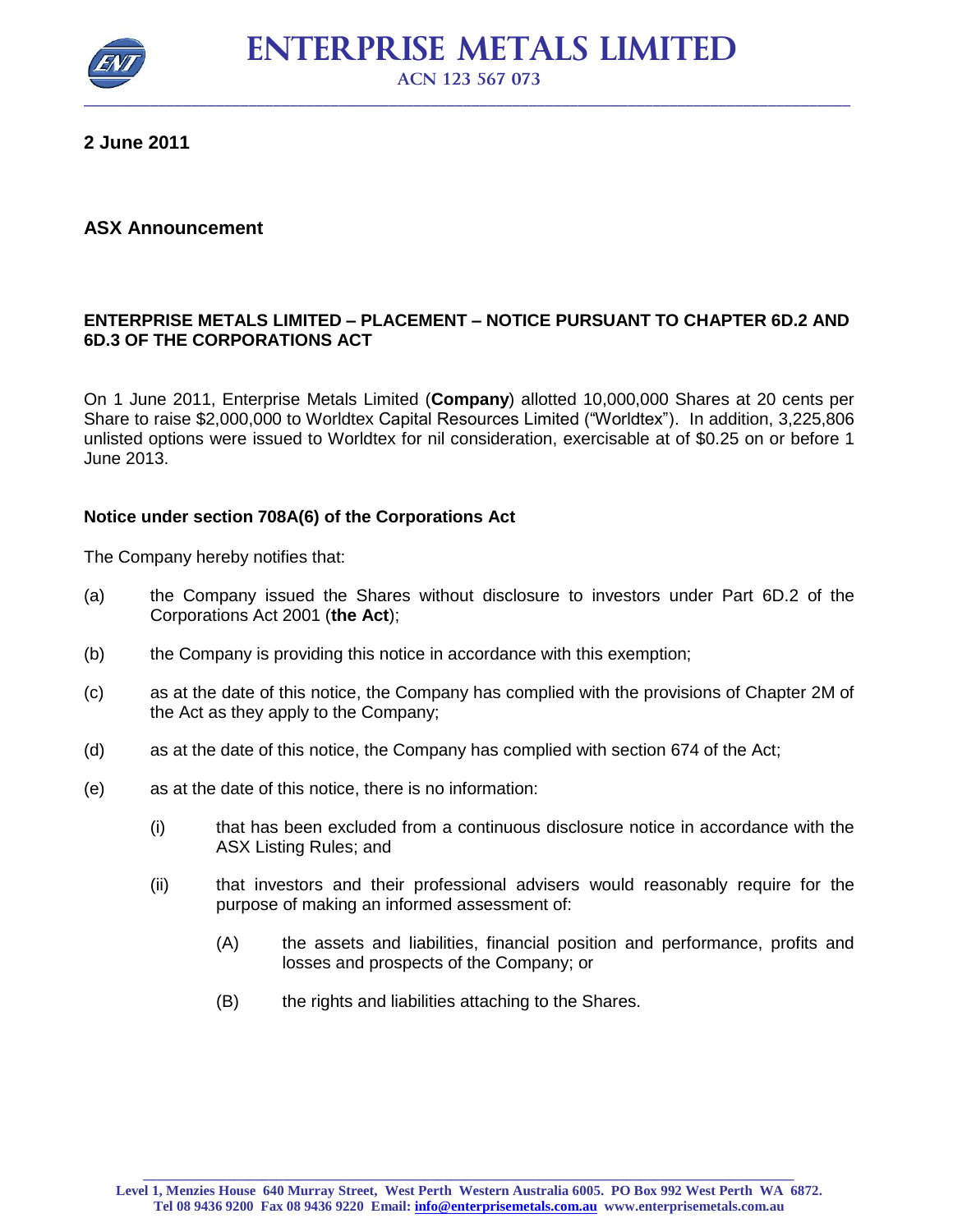

 **ENTERPRISE METALS LIMITED ACN 123 567 073**

**2 June 2011**

### **ASX Announcement**

#### **ENTERPRISE METALS LIMITED – PLACEMENT – NOTICE PURSUANT TO CHAPTER 6D.2 AND 6D.3 OF THE CORPORATIONS ACT**

On 1 June 2011, Enterprise Metals Limited (**Company**) allotted 10,000,000 Shares at 20 cents per Share to raise \$2,000,000 to Worldtex Capital Resources Limited ("Worldtex"). In addition, 3,225,806 unlisted options were issued to Worldtex for nil consideration, exercisable at of \$0.25 on or before 1 June 2013.

#### **Notice under section 708A(6) of the Corporations Act**

The Company hereby notifies that:

- (a) the Company issued the Shares without disclosure to investors under Part 6D.2 of the Corporations Act 2001 (**the Act**);
- (b) the Company is providing this notice in accordance with this exemption;
- (c) as at the date of this notice, the Company has complied with the provisions of Chapter 2M of the Act as they apply to the Company;
- (d) as at the date of this notice, the Company has complied with section 674 of the Act;
- (e) as at the date of this notice, there is no information:
	- (i) that has been excluded from a continuous disclosure notice in accordance with the ASX Listing Rules; and
	- (ii) that investors and their professional advisers would reasonably require for the purpose of making an informed assessment of:
		- (A) the assets and liabilities, financial position and performance, profits and losses and prospects of the Company; or
		- (B) the rights and liabilities attaching to the Shares.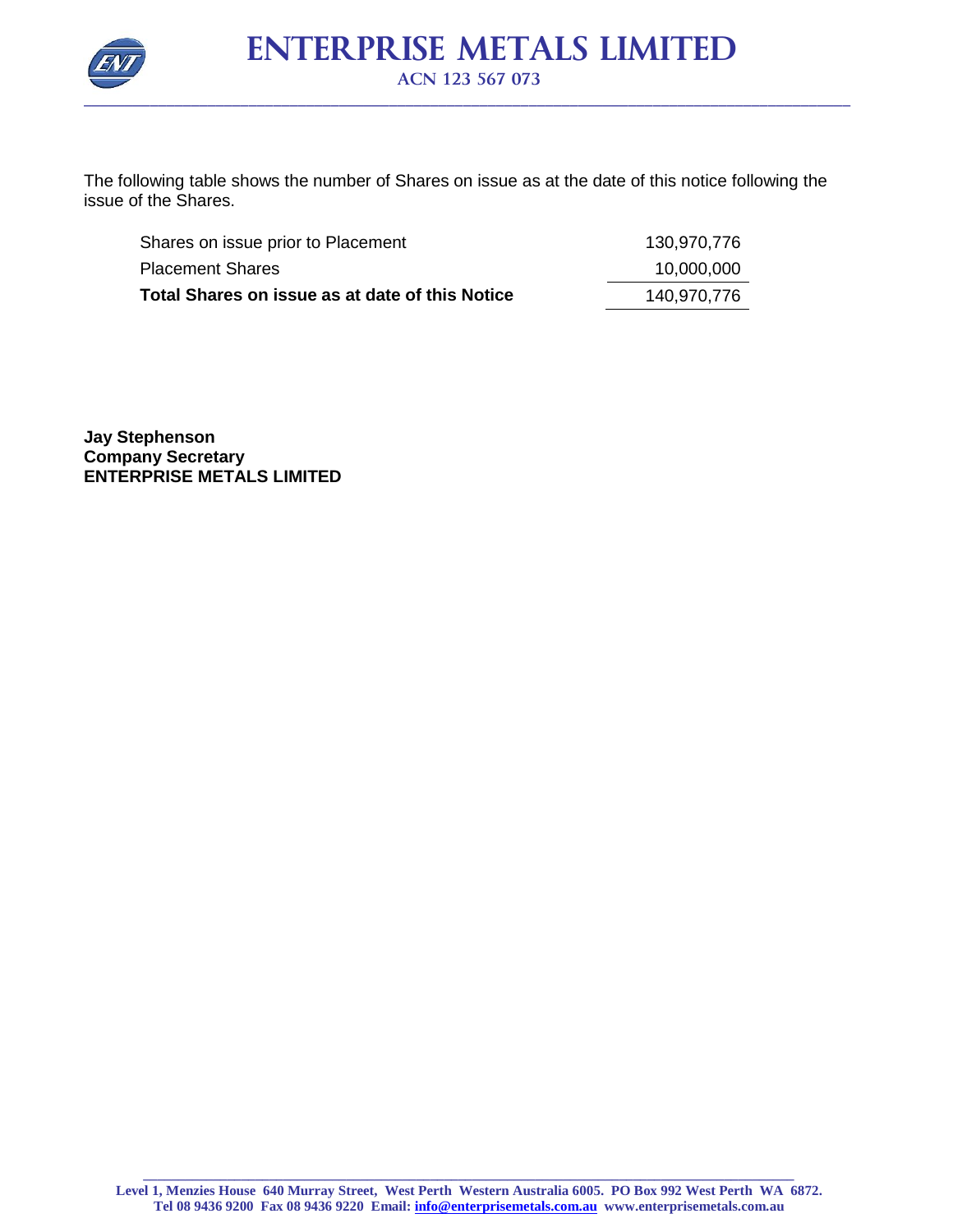

The following table shows the number of Shares on issue as at the date of this notice following the issue of the Shares.

| Shares on issue prior to Placement              | 130,970,776 |
|-------------------------------------------------|-------------|
| <b>Placement Shares</b>                         | 10,000,000  |
| Total Shares on issue as at date of this Notice | 140,970,776 |

**Jay Stephenson Company Secretary ENTERPRISE METALS LIMITED**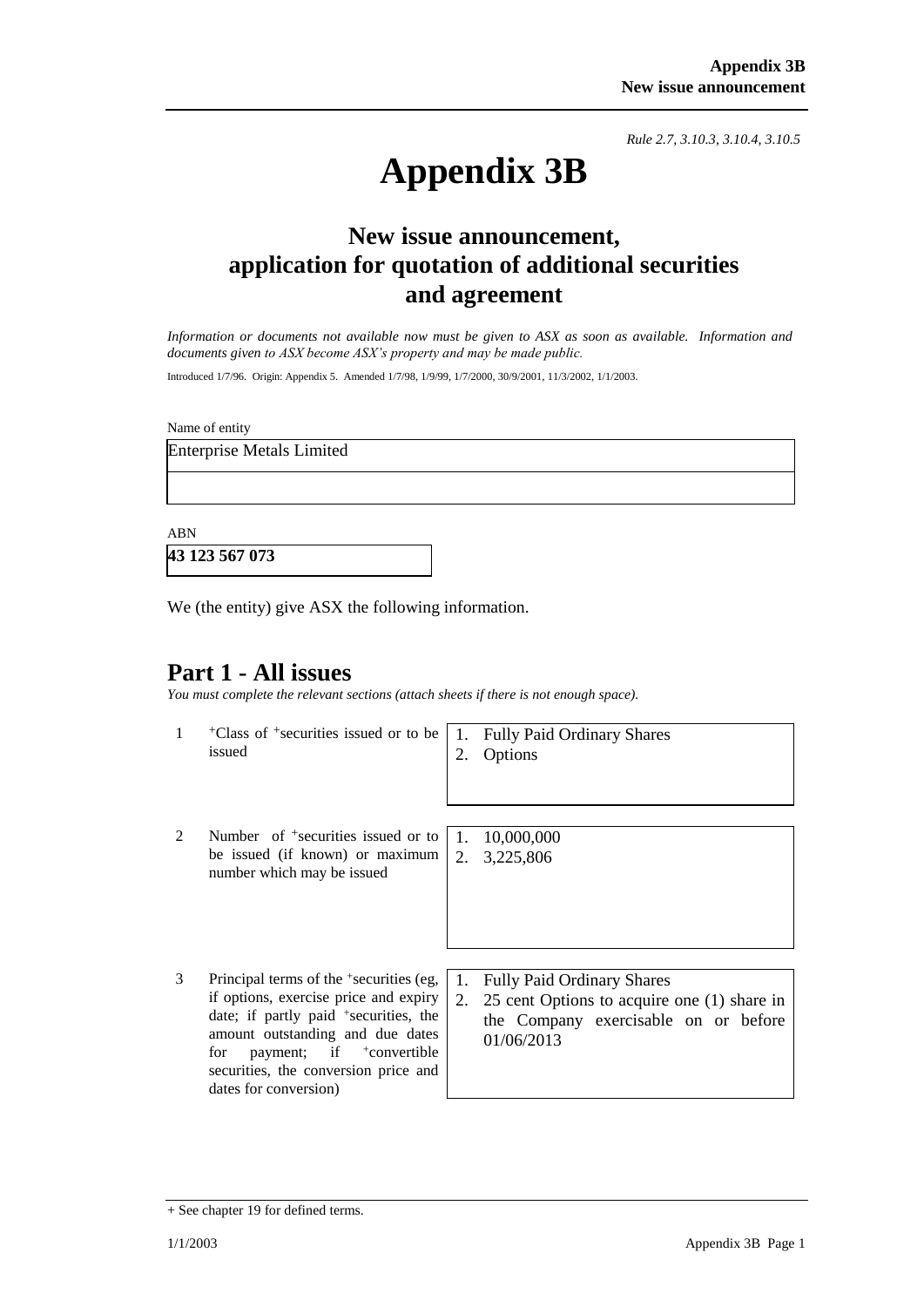*Rule 2.7, 3.10.3, 3.10.4, 3.10.5*

# **Appendix 3B**

# **New issue announcement, application for quotation of additional securities and agreement**

*Information or documents not available now must be given to ASX as soon as available. Information and documents given to ASX become ASX's property and may be made public.*

Introduced 1/7/96. Origin: Appendix 5. Amended 1/7/98, 1/9/99, 1/7/2000, 30/9/2001, 11/3/2002, 1/1/2003.

Name of entity

Enterprise Metals Limited

ABN

**43 123 567 073**

We (the entity) give ASX the following information.

## **Part 1 - All issues**

*You must complete the relevant sections (attach sheets if there is not enough space).*

- 1 +Class of +securities issued or to be issued 1. Fully Paid Ordinary Shares 2. Options 2 Number of <sup>+</sup>securities issued or to be issued (if known) or maximum number which may be issued 1. 10,000,000 2. 3,225,806
- 3 Principal terms of the <sup>+</sup> securities (eg, if options, exercise price and expiry date; if partly paid <sup>+</sup>securities, the amount outstanding and due dates for payment; if  $\pm$ convertible securities, the conversion price and dates for conversion)

<sup>1.</sup> Fully Paid Ordinary Shares 2. 25 cent Options to acquire one (1) share in the Company exercisable on or before 01/06/2013

<sup>+</sup> See chapter 19 for defined terms.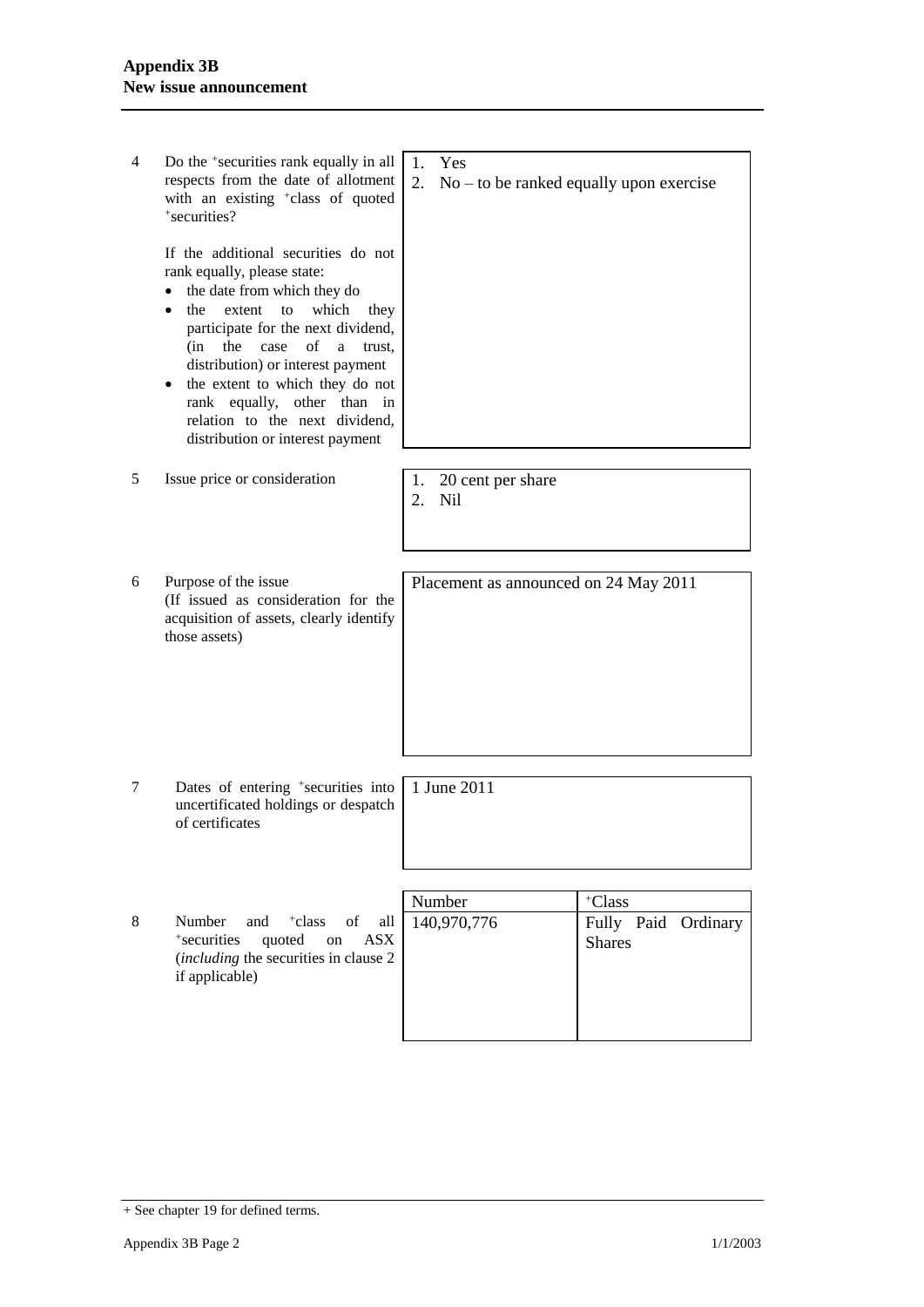| 4 | Do the <sup>+</sup> securities rank equally in all<br>respects from the date of allotment<br>with an existing <sup>+</sup> class of quoted<br>+securities?                                                                                                                                                                                                                                                         | Yes<br>1.<br>2.<br>$No - to be ranked equally upon exercise$            |
|---|--------------------------------------------------------------------------------------------------------------------------------------------------------------------------------------------------------------------------------------------------------------------------------------------------------------------------------------------------------------------------------------------------------------------|-------------------------------------------------------------------------|
|   | If the additional securities do not<br>rank equally, please state:<br>the date from which they do<br>the<br>extent<br>which<br>to<br>they<br>participate for the next dividend,<br>$\sigma$ f<br>case<br>(in<br>the<br>a<br>trust.<br>distribution) or interest payment<br>the extent to which they do not<br>rank equally, other than<br>in<br>relation to the next dividend,<br>distribution or interest payment |                                                                         |
| 5 | Issue price or consideration                                                                                                                                                                                                                                                                                                                                                                                       | 20 cent per share<br>1.<br>2.<br>Nil                                    |
| 6 | Purpose of the issue<br>(If issued as consideration for the<br>acquisition of assets, clearly identify<br>those assets)                                                                                                                                                                                                                                                                                            | Placement as announced on 24 May 2011                                   |
| 7 | Dates of entering <sup>+</sup> securities into<br>uncertificated holdings or despatch<br>of certificates                                                                                                                                                                                                                                                                                                           | 1 June 2011                                                             |
| 8 | Number<br>and<br><sup>+</sup> class<br>of<br>all<br>+securities<br>quoted<br><b>ASX</b><br>on<br>(including the securities in clause 2<br>if applicable)                                                                                                                                                                                                                                                           | +Class<br>Number<br>140,970,776<br>Fully Paid Ordinary<br><b>Shares</b> |

<sup>+</sup> See chapter 19 for defined terms.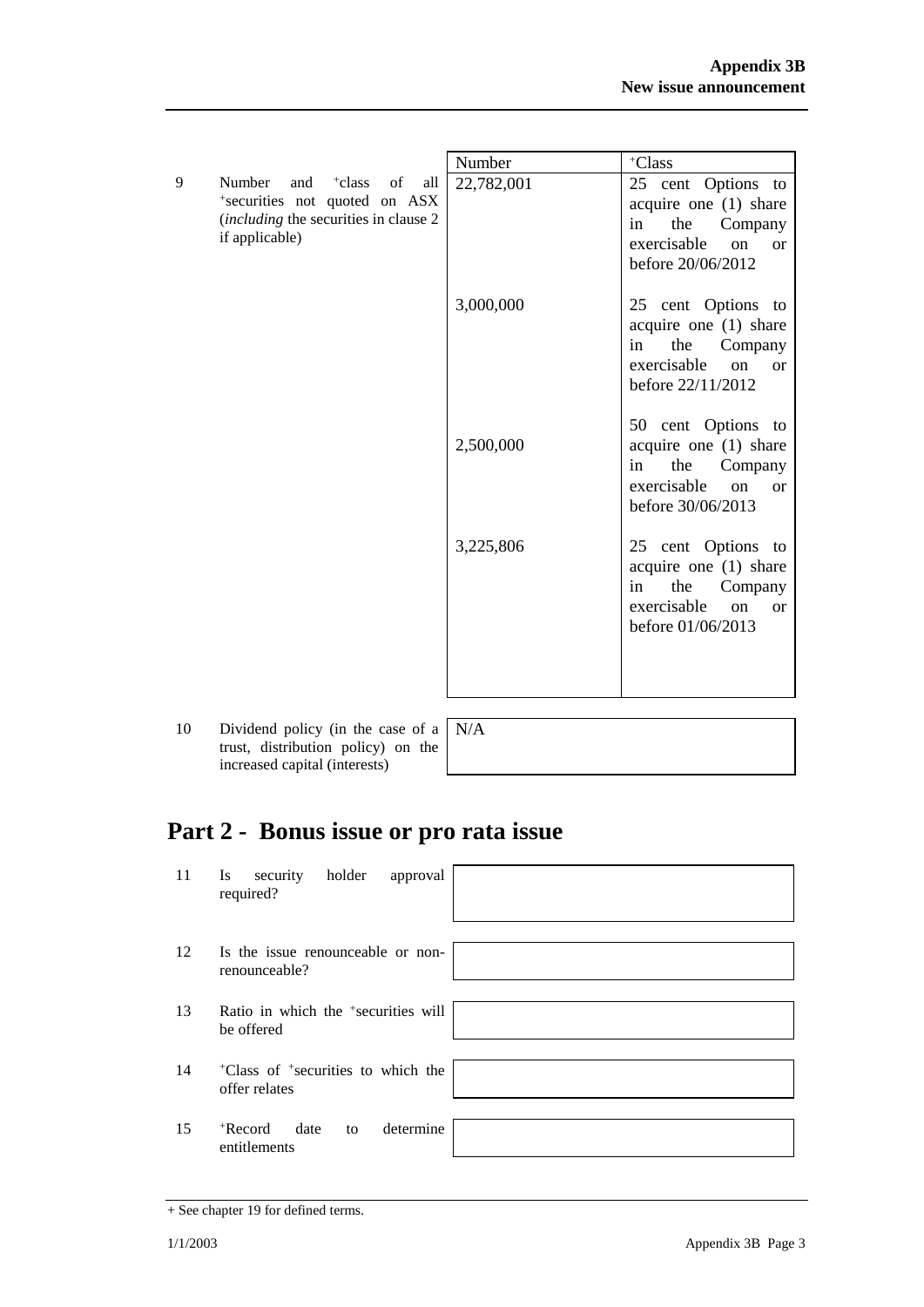|                                                                                                                                                   | Number     | +Class                                                                                                                                       |
|---------------------------------------------------------------------------------------------------------------------------------------------------|------------|----------------------------------------------------------------------------------------------------------------------------------------------|
| 9<br>Number<br><sup>+</sup> class<br>and<br>of<br>all<br>*securities not quoted on ASX<br>(including the securities in clause 2<br>if applicable) | 22,782,001 | 25<br>cent Options to<br>acquire one (1) share<br>the<br>in<br>Company<br>exercisable<br><sub>on</sub><br><sub>or</sub><br>before 20/06/2012 |
|                                                                                                                                                   | 3,000,000  | 25 cent Options to<br>acquire one (1) share<br>the<br>Company<br>in<br>exercisable<br><sub>on</sub><br><sub>or</sub><br>before 22/11/2012    |
|                                                                                                                                                   | 2,500,000  | 50 cent Options to<br>acquire one $(1)$ share<br>the<br>Company<br>in<br>exercisable<br><sub>on</sub><br>$\alpha$<br>before 30/06/2013       |
|                                                                                                                                                   | 3,225,806  | 25 cent Options to<br>acquire one (1) share<br>the<br>Company<br>in<br>exercisable<br><sub>on</sub><br><sub>or</sub><br>before 01/06/2013    |

10 Dividend policy (in the case of a trust, distribution policy) on the increased capital (interests)

| $\mathsf{N}/\mathsf{A}$ |
|-------------------------|
|                         |
|                         |

# **Part 2 - Bonus issue or pro rata issue**

| 11 | holder<br>security<br>approval<br><b>Is</b><br>required?                    |
|----|-----------------------------------------------------------------------------|
| 12 | Is the issue renounceable or non-<br>renounceable?                          |
| 13 | Ratio in which the <sup>+</sup> securities will<br>be offered               |
| 14 | <sup>+</sup> Class of <sup>+</sup> securities to which the<br>offer relates |
| 15 | determine<br>$+$ Record<br>date<br>to<br>entitlements                       |

<sup>+</sup> See chapter 19 for defined terms.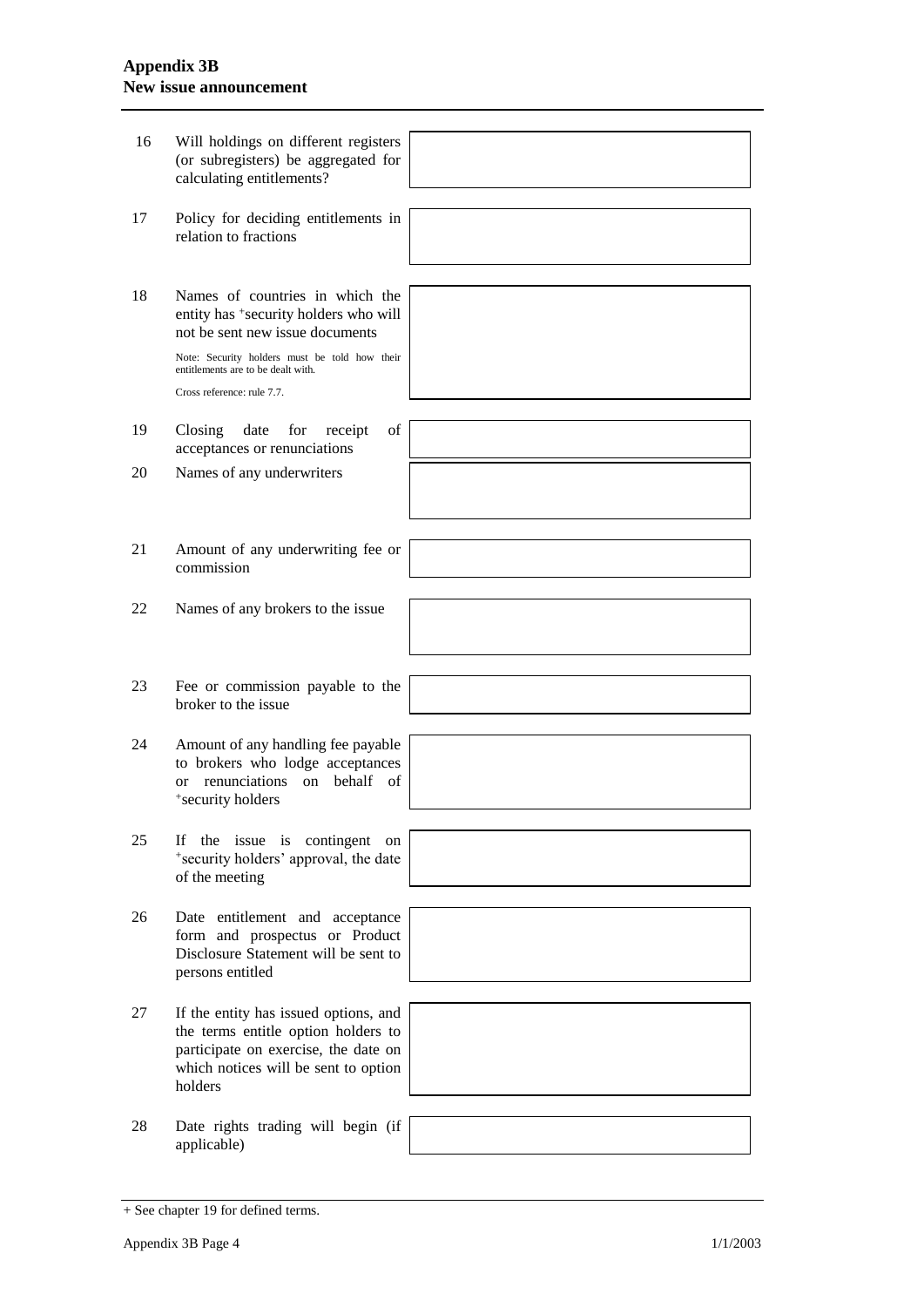#### **Appendix 3B New issue announcement**

| 16 | Will holdings on different registers<br>(or subregisters) be aggregated for<br>calculating entitlements?                                                                                           |  |
|----|----------------------------------------------------------------------------------------------------------------------------------------------------------------------------------------------------|--|
| 17 | Policy for deciding entitlements in<br>relation to fractions                                                                                                                                       |  |
| 18 | Names of countries in which the<br>entity has *security holders who will<br>not be sent new issue documents<br>Note: Security holders must be told how their<br>entitlements are to be dealt with. |  |
|    | Cross reference: rule 7.7.                                                                                                                                                                         |  |
| 19 | Closing<br>of<br>date<br>for<br>receipt<br>acceptances or renunciations                                                                                                                            |  |
| 20 | Names of any underwriters                                                                                                                                                                          |  |
|    |                                                                                                                                                                                                    |  |
| 21 | Amount of any underwriting fee or<br>commission                                                                                                                                                    |  |
| 22 | Names of any brokers to the issue                                                                                                                                                                  |  |
|    |                                                                                                                                                                                                    |  |
| 23 | Fee or commission payable to the<br>broker to the issue                                                                                                                                            |  |
| 24 | Amount of any handling fee payable<br>to brokers who lodge acceptances<br>renunciations on behalf of<br><b>or</b><br>*security holders                                                             |  |
| 25 | the issue is contingent on<br>If<br>*security holders' approval, the date<br>of the meeting                                                                                                        |  |
|    |                                                                                                                                                                                                    |  |
| 26 | Date entitlement and acceptance<br>form and prospectus or Product<br>Disclosure Statement will be sent to<br>persons entitled                                                                      |  |
|    |                                                                                                                                                                                                    |  |
| 27 | If the entity has issued options, and<br>the terms entitle option holders to<br>participate on exercise, the date on<br>which notices will be sent to option<br>holders                            |  |
|    |                                                                                                                                                                                                    |  |
| 28 | Date rights trading will begin (if<br>applicable)                                                                                                                                                  |  |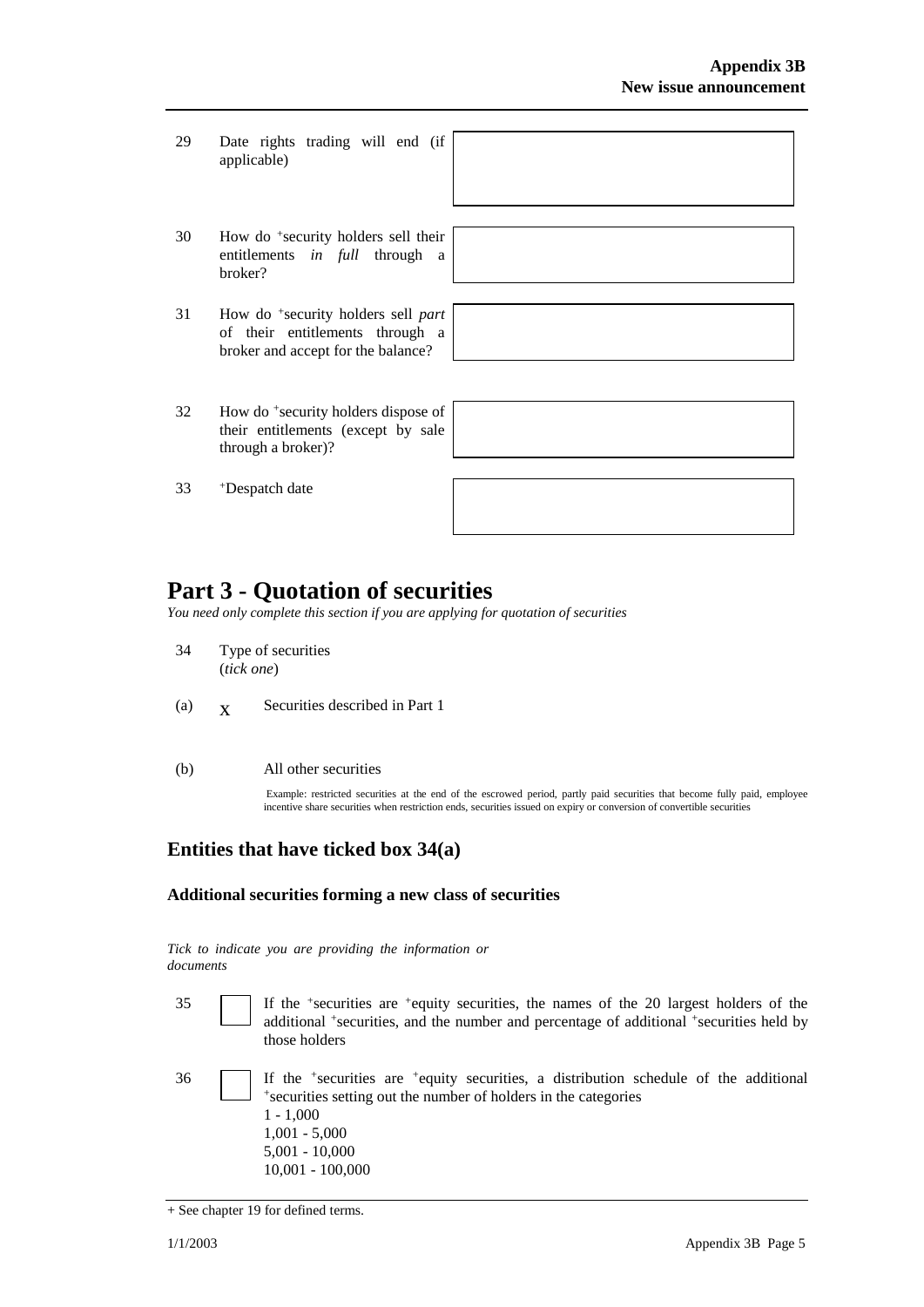29 Date rights trading will end (if applicable)



- 30 How do <sup>+</sup> security holders sell their entitlements *in full* through a broker?
- 31 How do <sup>+</sup> security holders sell *part* of their entitlements through a broker and accept for the balance?

32 How do <sup>+</sup> security holders dispose of their entitlements (except by sale through a broker)?

33 <sup>+</sup>Despatch date

|  |  | _____ |
|--|--|-------|
|  |  |       |

# **Part 3 - Quotation of securities**

*You need only complete this section if you are applying for quotation of securities*

- 34 Type of securities (*tick one*)
- (a)  $\mathbf{x}$ Securities described in Part 1
- (b) All other securities

Example: restricted securities at the end of the escrowed period, partly paid securities that become fully paid, employee incentive share securities when restriction ends, securities issued on expiry or conversion of convertible securities

### **Entities that have ticked box 34(a)**

#### **Additional securities forming a new class of securities**

*Tick to indicate you are providing the information or documents*

- 35 If the <sup>+</sup> securities are <sup>+</sup>equity securities, the names of the 20 largest holders of the additional <sup>+</sup>securities, and the number and percentage of additional <sup>+</sup>securities held by those holders
- 36 If the <sup>+</sup> securities are <sup>+</sup>equity securities, a distribution schedule of the additional + securities setting out the number of holders in the categories 1 - 1,000 1,001 - 5,000 5,001 - 10,000 10,001 - 100,000

<sup>+</sup> See chapter 19 for defined terms.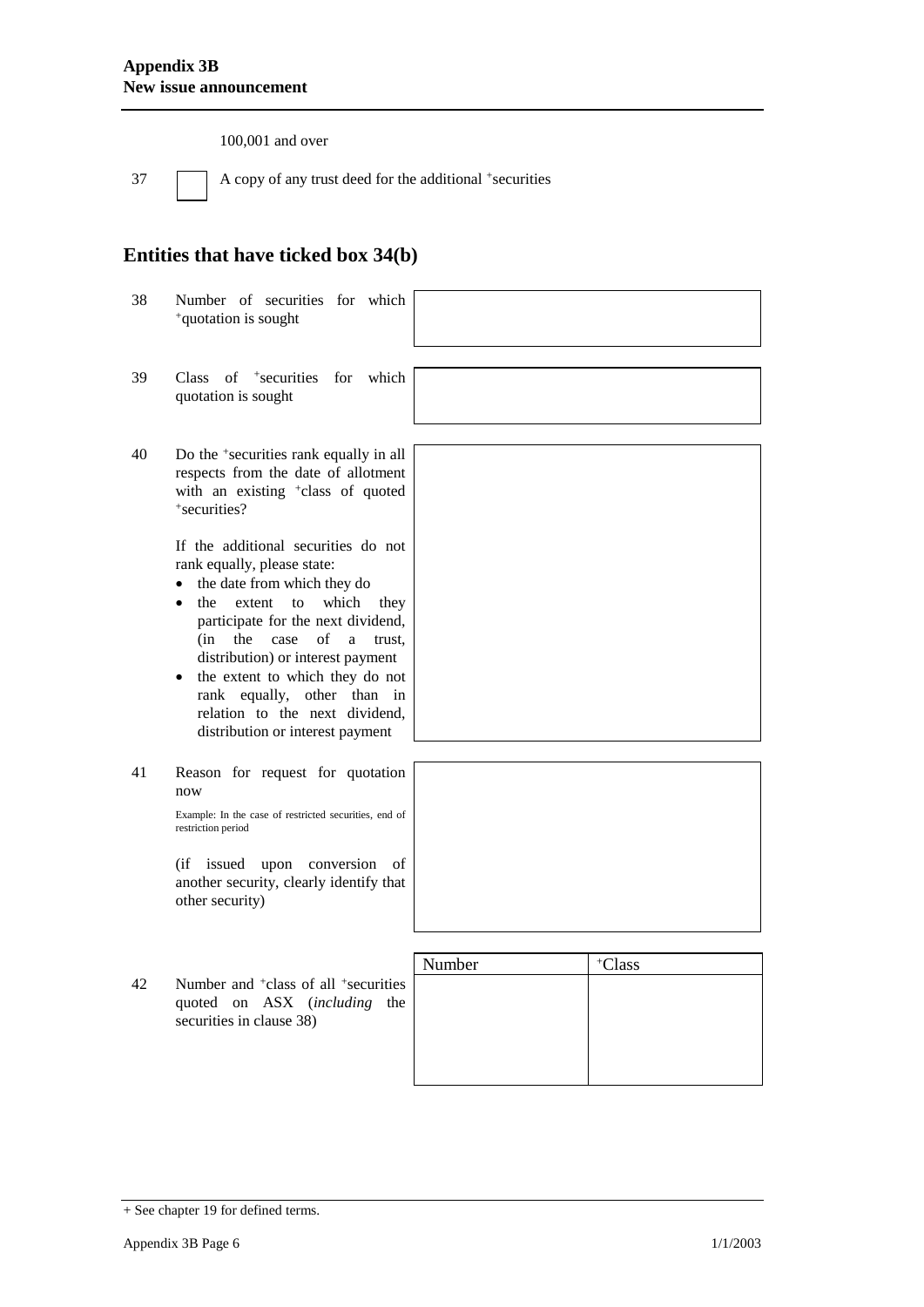100,001 and over

37 A copy of any trust deed for the additional +securities

### **Entities that have ticked box 34(b)**

- 38 Number of securities for which <sup>+</sup>quotation is sought
	-
- 39 Class of <sup>+</sup> securities for which quotation is sought
- 40 Do the <sup>+</sup> securities rank equally in all respects from the date of allotment with an existing <sup>+</sup>class of quoted + securities?

If the additional securities do not rank equally, please state:

- the date from which they do
- the extent to which they participate for the next dividend, (in the case of a trust, distribution) or interest payment
- the extent to which they do not rank equally, other than in relation to the next dividend, distribution or interest payment
- 41 Reason for request for quotation now

Example: In the case of restricted securities, end of restriction period

(if issued upon conversion of another security, clearly identify that other security)

42 Number and <sup>+</sup>class of all <sup>+</sup> securities quoted on ASX (*including* the securities in clause 38)

| Number | +Class |  |
|--------|--------|--|
|        |        |  |
|        |        |  |
|        |        |  |
|        |        |  |
|        |        |  |

<sup>+</sup> See chapter 19 for defined terms.